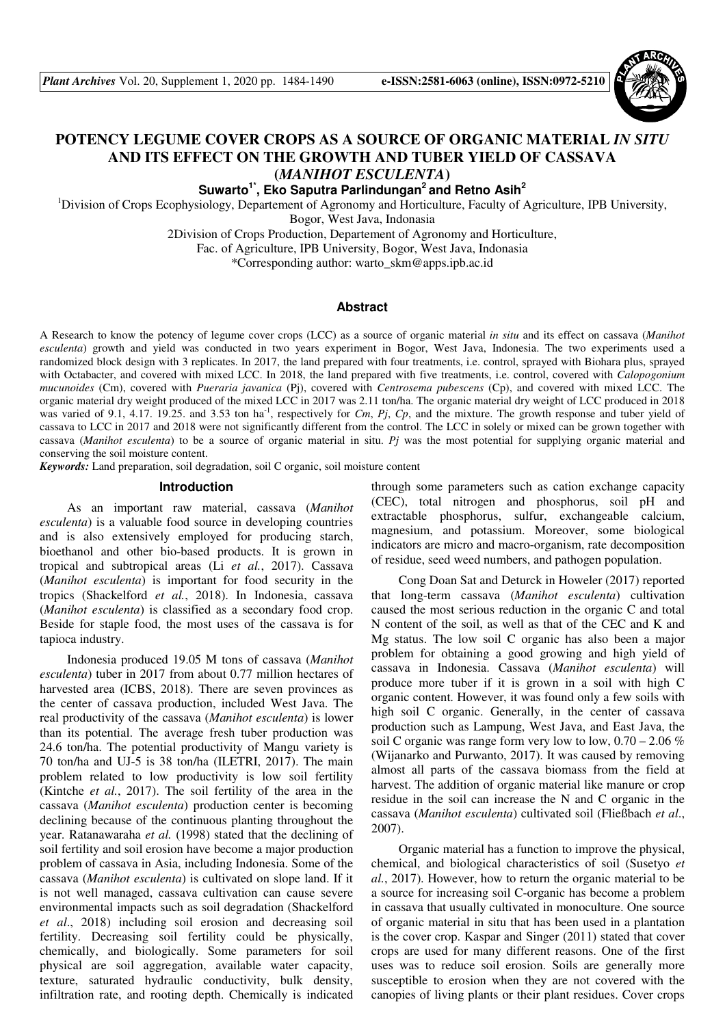

# **POTENCY LEGUME COVER CROPS AS A SOURCE OF ORGANIC MATERIAL** *IN SITU* **AND ITS EFFECT ON THE GROWTH AND TUBER YIELD OF CASSAVA (***MANIHOT ESCULENTA***)**

**Suwarto1\*, Eko Saputra Parlindungan<sup>2</sup>and Retno Asih<sup>2</sup>**

<sup>1</sup>Division of Crops Ecophysiology, Departement of Agronomy and Horticulture, Faculty of Agriculture, IPB University, Bogor, West Java, Indonasia

2Division of Crops Production, Departement of Agronomy and Horticulture,

Fac. of Agriculture, IPB University, Bogor, West Java, Indonasia

\*Corresponding author: warto\_skm@apps.ipb.ac.id

#### **Abstract**

A Research to know the potency of legume cover crops (LCC) as a source of organic material *in situ* and its effect on cassava (*Manihot esculenta*) growth and yield was conducted in two years experiment in Bogor, West Java, Indonesia. The two experiments used a randomized block design with 3 replicates. In 2017, the land prepared with four treatments, i.e. control, sprayed with Biohara plus, sprayed with Octabacter, and covered with mixed LCC. In 2018, the land prepared with five treatments, i.e. control, covered with *Calopogonium mucunoides* (Cm), covered with *Pueraria javanica* (Pj), covered with *Centrosema pubescens* (Cp), and covered with mixed LCC. The organic material dry weight produced of the mixed LCC in 2017 was 2.11 ton/ha. The organic material dry weight of LCC produced in 2018 was varied of 9.1, 4.17. 19.25. and 3.53 ton ha<sup>-1</sup>, respectively for *Cm*, *Pj*, *Cp*, and the mixture. The growth response and tuber yield of cassava to LCC in 2017 and 2018 were not significantly different from the control. The LCC in solely or mixed can be grown together with cassava (*Manihot esculenta*) to be a source of organic material in situ. *Pj* was the most potential for supplying organic material and conserving the soil moisture content.

*Keywords:* Land preparation, soil degradation, soil C organic, soil moisture content

#### **Introduction**

As an important raw material, cassava (*Manihot esculenta*) is a valuable food source in developing countries and is also extensively employed for producing starch, bioethanol and other bio-based products. It is grown in tropical and subtropical areas (Li *et al.*, 2017). Cassava (*Manihot esculenta*) is important for food security in the tropics (Shackelford *et al.*, 2018). In Indonesia, cassava (*Manihot esculenta*) is classified as a secondary food crop. Beside for staple food, the most uses of the cassava is for tapioca industry.

Indonesia produced 19.05 M tons of cassava (*Manihot esculenta*) tuber in 2017 from about 0.77 million hectares of harvested area (ICBS, 2018). There are seven provinces as the center of cassava production, included West Java. The real productivity of the cassava (*Manihot esculenta*) is lower than its potential. The average fresh tuber production was 24.6 ton/ha. The potential productivity of Mangu variety is 70 ton/ha and UJ-5 is 38 ton/ha (ILETRI, 2017). The main problem related to low productivity is low soil fertility (Kintche *et al.*, 2017). The soil fertility of the area in the cassava (*Manihot esculenta*) production center is becoming declining because of the continuous planting throughout the year. Ratanawaraha *et al.* (1998) stated that the declining of soil fertility and soil erosion have become a major production problem of cassava in Asia, including Indonesia. Some of the cassava (*Manihot esculenta*) is cultivated on slope land. If it is not well managed, cassava cultivation can cause severe environmental impacts such as soil degradation (Shackelford *et al*., 2018) including soil erosion and decreasing soil fertility. Decreasing soil fertility could be physically, chemically, and biologically. Some parameters for soil physical are soil aggregation, available water capacity, texture, saturated hydraulic conductivity, bulk density, infiltration rate, and rooting depth. Chemically is indicated through some parameters such as cation exchange capacity (CEC), total nitrogen and phosphorus, soil pH and extractable phosphorus, sulfur, exchangeable calcium, magnesium, and potassium. Moreover, some biological indicators are micro and macro-organism, rate decomposition of residue, seed weed numbers, and pathogen population.

Cong Doan Sat and Deturck in Howeler (2017) reported that long-term cassava (*Manihot esculenta*) cultivation caused the most serious reduction in the organic C and total N content of the soil, as well as that of the CEC and K and Mg status. The low soil C organic has also been a major problem for obtaining a good growing and high yield of cassava in Indonesia. Cassava (*Manihot esculenta*) will produce more tuber if it is grown in a soil with high C organic content. However, it was found only a few soils with high soil C organic. Generally, in the center of cassava production such as Lampung, West Java, and East Java, the soil C organic was range form very low to low,  $0.70 - 2.06\%$ (Wijanarko and Purwanto, 2017). It was caused by removing almost all parts of the cassava biomass from the field at harvest. The addition of organic material like manure or crop residue in the soil can increase the N and C organic in the cassava (*Manihot esculenta*) cultivated soil (Fließbach *et al*., 2007).

Organic material has a function to improve the physical, chemical, and biological characteristics of soil (Susetyo *et al.*, 2017). However, how to return the organic material to be a source for increasing soil C-organic has become a problem in cassava that usually cultivated in monoculture. One source of organic material in situ that has been used in a plantation is the cover crop. Kaspar and Singer (2011) stated that cover crops are used for many different reasons. One of the first uses was to reduce soil erosion. Soils are generally more susceptible to erosion when they are not covered with the canopies of living plants or their plant residues. Cover crops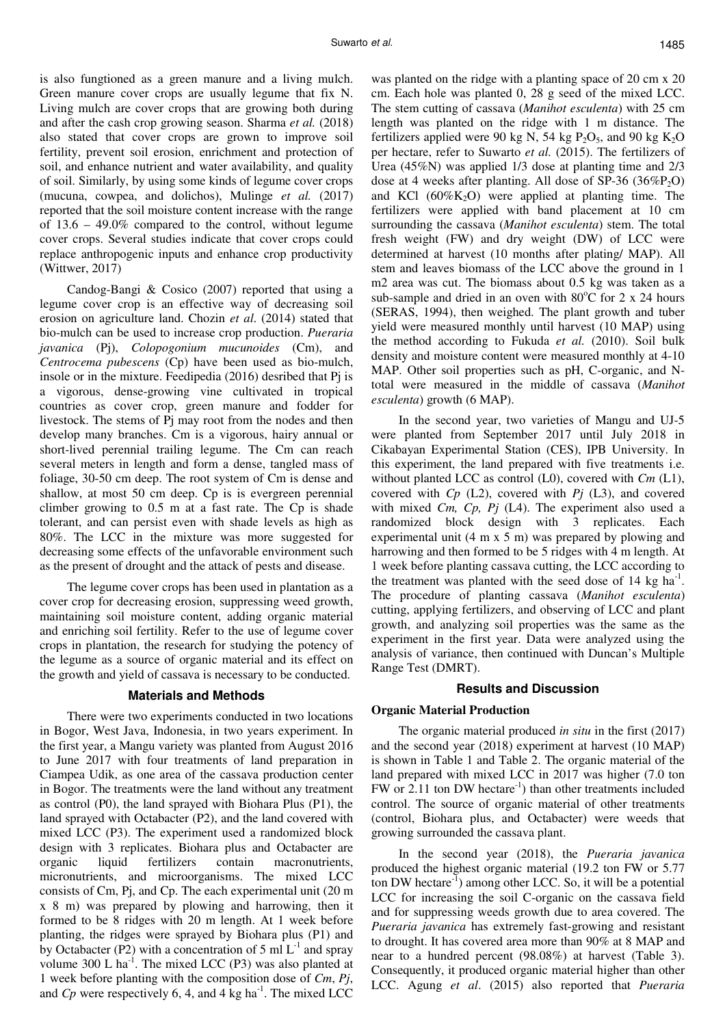is also fungtioned as a green manure and a living mulch. Green manure cover crops are usually legume that fix N. Living mulch are cover crops that are growing both during and after the cash crop growing season. Sharma *et al.* (2018) also stated that cover crops are grown to improve soil fertility, prevent soil erosion, enrichment and protection of soil, and enhance nutrient and water availability, and quality of soil. Similarly, by using some kinds of legume cover crops (mucuna, cowpea, and dolichos), Mulinge *et al.* (2017) reported that the soil moisture content increase with the range of 13.6 – 49.0% compared to the control, without legume cover crops. Several studies indicate that cover crops could replace anthropogenic inputs and enhance crop productivity (Wittwer, 2017)

Candog-Bangi & Cosico (2007) reported that using a legume cover crop is an effective way of decreasing soil erosion on agriculture land. Chozin *et al*. (2014) stated that bio-mulch can be used to increase crop production. *Pueraria javanica* (Pj), *Colopogonium mucunoides* (Cm), and *Centrocema pubescens* (Cp) have been used as bio-mulch, insole or in the mixture. Feedipedia (2016) desribed that Pj is a vigorous, dense-growing vine cultivated in tropical countries as cover crop, green manure and fodder for livestock. The stems of Pj may root from the nodes and then develop many branches. Cm is a vigorous, hairy annual or short-lived perennial trailing legume. The Cm can reach several meters in length and form a dense, tangled mass of foliage, 30-50 cm deep. The root system of Cm is dense and shallow, at most 50 cm deep. Cp is is evergreen perennial climber growing to 0.5 m at a fast rate. The Cp is shade tolerant, and can persist even with shade levels as high as 80%. The LCC in the mixture was more suggested for decreasing some effects of the unfavorable environment such as the present of drought and the attack of pests and disease.

The legume cover crops has been used in plantation as a cover crop for decreasing erosion, suppressing weed growth, maintaining soil moisture content, adding organic material and enriching soil fertility. Refer to the use of legume cover crops in plantation, the research for studying the potency of the legume as a source of organic material and its effect on the growth and yield of cassava is necessary to be conducted.

#### **Materials and Methods**

There were two experiments conducted in two locations in Bogor, West Java, Indonesia, in two years experiment. In the first year, a Mangu variety was planted from August 2016 to June 2017 with four treatments of land preparation in Ciampea Udik, as one area of the cassava production center in Bogor. The treatments were the land without any treatment as control (P0), the land sprayed with Biohara Plus (P1), the land sprayed with Octabacter (P2), and the land covered with mixed LCC (P3). The experiment used a randomized block design with 3 replicates. Biohara plus and Octabacter are organic liquid fertilizers contain macronutrients, micronutrients, and microorganisms. The mixed LCC consists of Cm, Pj, and Cp. The each experimental unit (20 m x 8 m) was prepared by plowing and harrowing, then it formed to be 8 ridges with 20 m length. At 1 week before planting, the ridges were sprayed by Biohara plus (P1) and by Octabacter (P2) with a concentration of 5 ml  $L^{-1}$  and spray volume 300 L ha<sup>-1</sup>. The mixed LCC (P3) was also planted at 1 week before planting with the composition dose of *Cm*, *Pj*, and  $C_p$  were respectively 6, 4, and 4 kg ha<sup>-1</sup>. The mixed LCC

was planted on the ridge with a planting space of 20 cm x 20 cm. Each hole was planted 0, 28 g seed of the mixed LCC. The stem cutting of cassava (*Manihot esculenta*) with 25 cm length was planted on the ridge with 1 m distance. The fertilizers applied were 90 kg N, 54 kg  $P_2O_5$ , and 90 kg  $K_2O$ per hectare, refer to Suwarto *et al.* (2015). The fertilizers of Urea (45%N) was applied 1/3 dose at planting time and 2/3 dose at 4 weeks after planting. All dose of  $SP-36$  (36% $P_2$ O) and KCl  $(60\%K_2O)$  were applied at planting time. The fertilizers were applied with band placement at 10 cm surrounding the cassava (*Manihot esculenta*) stem. The total fresh weight (FW) and dry weight (DW) of LCC were determined at harvest (10 months after plating/ MAP). All stem and leaves biomass of the LCC above the ground in 1 m2 area was cut. The biomass about 0.5 kg was taken as a sub-sample and dried in an oven with  $80^{\circ}$ C for 2 x 24 hours (SERAS, 1994), then weighed. The plant growth and tuber yield were measured monthly until harvest (10 MAP) using the method according to Fukuda *et al.* (2010). Soil bulk density and moisture content were measured monthly at 4-10 MAP. Other soil properties such as pH, C-organic, and Ntotal were measured in the middle of cassava (*Manihot esculenta*) growth (6 MAP).

In the second year, two varieties of Mangu and UJ-5 were planted from September 2017 until July 2018 in Cikabayan Experimental Station (CES), IPB University. In this experiment, the land prepared with five treatments i.e. without planted LCC as control (L0), covered with *Cm* (L1), covered with *Cp* (L2), covered with *Pj* (L3), and covered with mixed *Cm, Cp, Pj* (L4). The experiment also used a randomized block design with 3 replicates. Each experimental unit (4 m x 5 m) was prepared by plowing and harrowing and then formed to be 5 ridges with 4 m length. At 1 week before planting cassava cutting, the LCC according to the treatment was planted with the seed dose of  $14 \text{ kg ha}^{-1}$ . The procedure of planting cassava (*Manihot esculenta*) cutting, applying fertilizers, and observing of LCC and plant growth, and analyzing soil properties was the same as the experiment in the first year. Data were analyzed using the analysis of variance, then continued with Duncan's Multiple Range Test (DMRT).

#### **Results and Discussion**

#### **Organic Material Production**

The organic material produced *in situ* in the first (2017) and the second year (2018) experiment at harvest (10 MAP) is shown in Table 1 and Table 2. The organic material of the land prepared with mixed LCC in 2017 was higher (7.0 ton  $FW$  or 2.11 ton DW hectare<sup>-1</sup>) than other treatments included control. The source of organic material of other treatments (control, Biohara plus, and Octabacter) were weeds that growing surrounded the cassava plant.

In the second year (2018), the *Pueraria javanica* produced the highest organic material (19.2 ton FW or 5.77 ton DW hectare<sup>-1</sup>) among other LCC. So, it will be a potential LCC for increasing the soil C-organic on the cassava field and for suppressing weeds growth due to area covered. The *Pueraria javanica* has extremely fast-growing and resistant to drought. It has covered area more than 90% at 8 MAP and near to a hundred percent (98.08%) at harvest (Table 3). Consequently, it produced organic material higher than other LCC. Agung *et al*. (2015) also reported that *Pueraria*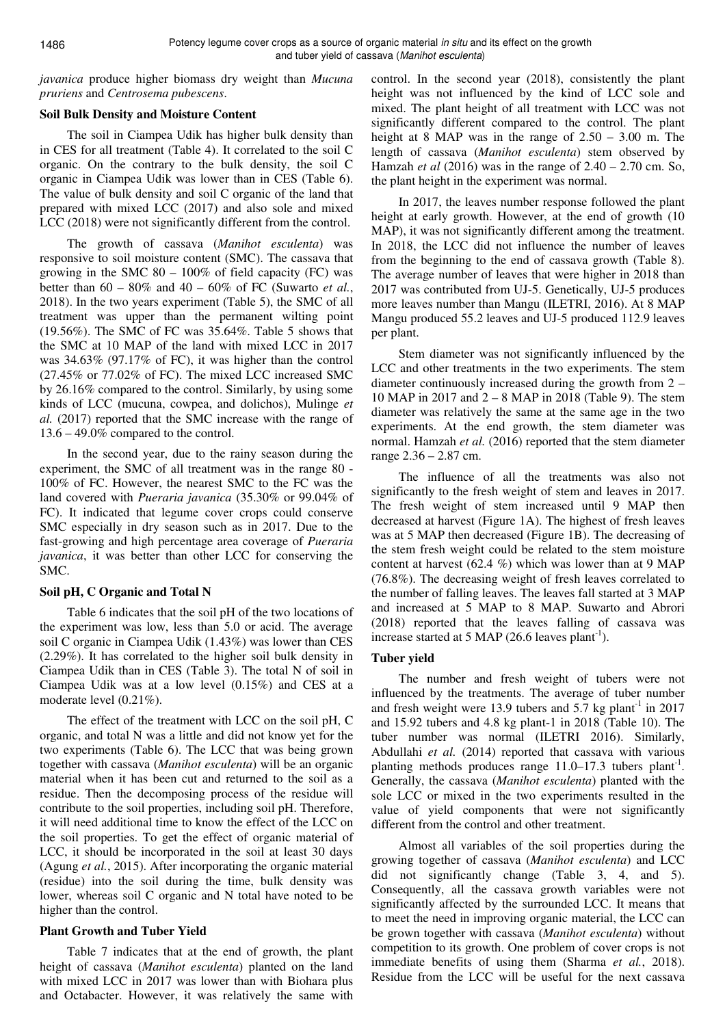*javanica* produce higher biomass dry weight than *Mucuna pruriens* and *Centrosema pubescens*.

## **Soil Bulk Density and Moisture Content**

The soil in Ciampea Udik has higher bulk density than in CES for all treatment (Table 4). It correlated to the soil C organic. On the contrary to the bulk density, the soil C organic in Ciampea Udik was lower than in CES (Table 6). The value of bulk density and soil C organic of the land that prepared with mixed LCC (2017) and also sole and mixed LCC (2018) were not significantly different from the control.

The growth of cassava (*Manihot esculenta*) was responsive to soil moisture content (SMC). The cassava that growing in the SMC  $80 - 100\%$  of field capacity (FC) was better than 60 – 80% and 40 – 60% of FC (Suwarto *et al.*, 2018). In the two years experiment (Table 5), the SMC of all treatment was upper than the permanent wilting point (19.56%). The SMC of FC was 35.64%. Table 5 shows that the SMC at 10 MAP of the land with mixed LCC in 2017 was 34.63% (97.17% of FC), it was higher than the control (27.45% or 77.02% of FC). The mixed LCC increased SMC by 26.16% compared to the control. Similarly, by using some kinds of LCC (mucuna, cowpea, and dolichos), Mulinge *et al.* (2017) reported that the SMC increase with the range of 13.6 – 49.0% compared to the control.

In the second year, due to the rainy season during the experiment, the SMC of all treatment was in the range 80 - 100% of FC. However, the nearest SMC to the FC was the land covered with *Pueraria javanica* (35.30% or 99.04% of FC). It indicated that legume cover crops could conserve SMC especially in dry season such as in 2017. Due to the fast-growing and high percentage area coverage of *Pueraria javanica*, it was better than other LCC for conserving the SMC.

# **Soil pH, C Organic and Total N**

Table 6 indicates that the soil pH of the two locations of the experiment was low, less than 5.0 or acid. The average soil C organic in Ciampea Udik (1.43%) was lower than CES (2.29%). It has correlated to the higher soil bulk density in Ciampea Udik than in CES (Table 3). The total N of soil in Ciampea Udik was at a low level (0.15%) and CES at a moderate level (0.21%).

The effect of the treatment with LCC on the soil pH, C organic, and total N was a little and did not know yet for the two experiments (Table 6). The LCC that was being grown together with cassava (*Manihot esculenta*) will be an organic material when it has been cut and returned to the soil as a residue. Then the decomposing process of the residue will contribute to the soil properties, including soil pH. Therefore, it will need additional time to know the effect of the LCC on the soil properties. To get the effect of organic material of LCC, it should be incorporated in the soil at least 30 days (Agung *et al.*, 2015). After incorporating the organic material (residue) into the soil during the time, bulk density was lower, whereas soil C organic and N total have noted to be higher than the control.

## **Plant Growth and Tuber Yield**

Table 7 indicates that at the end of growth, the plant height of cassava (*Manihot esculenta*) planted on the land with mixed LCC in 2017 was lower than with Biohara plus and Octabacter. However, it was relatively the same with control. In the second year (2018), consistently the plant height was not influenced by the kind of LCC sole and mixed. The plant height of all treatment with LCC was not significantly different compared to the control. The plant height at 8 MAP was in the range of 2.50 – 3.00 m. The length of cassava (*Manihot esculenta*) stem observed by Hamzah *et al* (2016) was in the range of 2.40 – 2.70 cm. So, the plant height in the experiment was normal.

In 2017, the leaves number response followed the plant height at early growth. However, at the end of growth (10 MAP), it was not significantly different among the treatment. In 2018, the LCC did not influence the number of leaves from the beginning to the end of cassava growth (Table 8). The average number of leaves that were higher in 2018 than 2017 was contributed from UJ-5. Genetically, UJ-5 produces more leaves number than Mangu (ILETRI, 2016). At 8 MAP Mangu produced 55.2 leaves and UJ-5 produced 112.9 leaves per plant.

Stem diameter was not significantly influenced by the LCC and other treatments in the two experiments. The stem diameter continuously increased during the growth from 2 – 10 MAP in 2017 and 2 – 8 MAP in 2018 (Table 9). The stem diameter was relatively the same at the same age in the two experiments. At the end growth, the stem diameter was normal. Hamzah *et al.* (2016) reported that the stem diameter range 2.36 – 2.87 cm.

The influence of all the treatments was also not significantly to the fresh weight of stem and leaves in 2017. The fresh weight of stem increased until 9 MAP then decreased at harvest (Figure 1A). The highest of fresh leaves was at 5 MAP then decreased (Figure 1B). The decreasing of the stem fresh weight could be related to the stem moisture content at harvest (62.4 %) which was lower than at 9 MAP (76.8%). The decreasing weight of fresh leaves correlated to the number of falling leaves. The leaves fall started at 3 MAP and increased at 5 MAP to 8 MAP. Suwarto and Abrori (2018) reported that the leaves falling of cassava was increase started at 5 MAP (26.6 leaves plant<sup>-1</sup>).

## **Tuber yield**

The number and fresh weight of tubers were not influenced by the treatments. The average of tuber number and fresh weight were 13.9 tubers and 5.7 kg plant<sup>-1</sup> in 2017 and 15.92 tubers and 4.8 kg plant-1 in 2018 (Table 10). The tuber number was normal (ILETRI 2016). Similarly, Abdullahi *et al.* (2014) reported that cassava with various planting methods produces range  $11.0-17.3$  tubers plant<sup>-1</sup>. Generally, the cassava (*Manihot esculenta*) planted with the sole LCC or mixed in the two experiments resulted in the value of yield components that were not significantly different from the control and other treatment.

Almost all variables of the soil properties during the growing together of cassava (*Manihot esculenta*) and LCC did not significantly change (Table 3, 4, and 5). Consequently, all the cassava growth variables were not significantly affected by the surrounded LCC. It means that to meet the need in improving organic material, the LCC can be grown together with cassava (*Manihot esculenta*) without competition to its growth. One problem of cover crops is not immediate benefits of using them (Sharma *et al.*, 2018). Residue from the LCC will be useful for the next cassava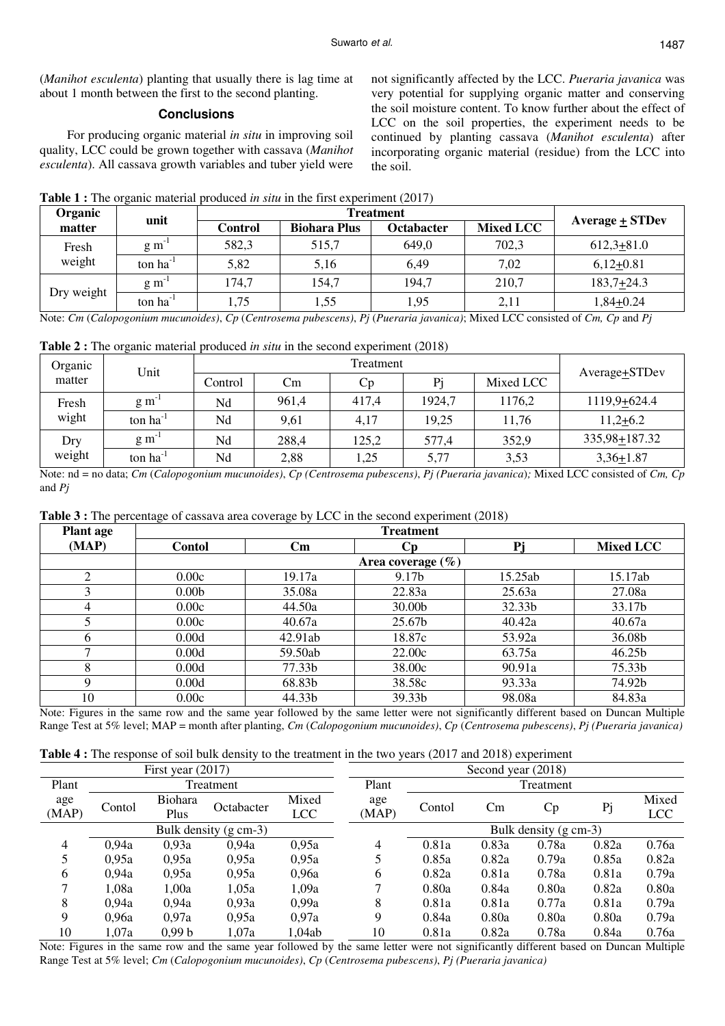(*Manihot esculenta*) planting that usually there is lag time at about 1 month between the first to the second planting.

# **Conclusions**

For producing organic material *in situ* in improving soil quality, LCC could be grown together with cassava (*Manihot esculenta*). All cassava growth variables and tuber yield were

not significantly affected by the LCC. *Pueraria javanica* was very potential for supplying organic matter and conserving the soil moisture content. To know further about the effect of LCC on the soil properties, the experiment needs to be continued by planting cassava (*Manihot esculenta*) after incorporating organic material (residue) from the LCC into the soil.

| <b>Table 1:</b> The organic material produced <i>in situ</i> in the first experiment $(2017)$ |  |  |  |
|-----------------------------------------------------------------------------------------------|--|--|--|
|-----------------------------------------------------------------------------------------------|--|--|--|

| Organic    | unit                 |         | Average $\pm$ STDev |            |                  |              |
|------------|----------------------|---------|---------------------|------------|------------------|--------------|
| matter     |                      | Control | <b>Biohara Plus</b> | Octabacter | <b>Mixed LCC</b> |              |
| Fresh      | $\rm g~m^{-1}$       | 582,3   | 515,7               | 649,0      | 702,3            | $612,3+81.0$ |
| weight     | ton $ha^{-1}$        | 5,82    | 5,16                | 6,49       | 7.02             | $6,12+0.81$  |
|            | $\rm g~m^{-1}$       | 174,7   | 154.7               | 194,7      | 210,7            | $183,7+24.3$ |
| Dry weight | ton ha <sup>-1</sup> | 1,75    | 1,55                | 1,95       | 2,11             | $1,84+0.24$  |

Note: *Cm* (*Calopogonium mucunoides)*, *Cp* (*Centrosema pubescens)*, *Pj* (*Pueraria javanica)*; Mixed LCC consisted of *Cm, Cp* and *Pj*

**Table 2 :** The organic material produced *in situ* in the second experiment (2018)

| Organic | Unit                 |         |       | Treatment |        |           |                            |  |  |
|---------|----------------------|---------|-------|-----------|--------|-----------|----------------------------|--|--|
| matter  |                      | Control | Cm    | Cр        | Pi     | Mixed LCC | Average <sup>+</sup> STDev |  |  |
| Fresh   | g m                  | Nd      | 961,4 | 417,4     | 1924,7 | 1176,2    | 1119,9+624.4               |  |  |
| wight   | ton ha <sup>-1</sup> | Nd      | 9,61  | 4,17      | 19,25  | 11,76     | $11,2+6.2$                 |  |  |
| Dry     | $\rm g~m^{-1}$       | Nd      | 288,4 | 125,2     | 577,4  | 352,9     | 335,98+187.32              |  |  |
| weight  | $ton ha^{-1}$        | Nd      | 2,88  | 1,25      | 5,77   | 3,53      | $3,36+1.87$                |  |  |

Note: nd = no data; *Cm* (*Calopogonium mucunoides)*, *Cp (Centrosema pubescens)*, *Pj (Pueraria javanica*)*;* Mixed LCC consisted of *Cm, Cp*  and *Pj* 

**Table 3 :** The percentage of cassava area coverage by LCC in the second experiment (2018)

| <b>Plant</b> age |                   |                        | <b>Treatment</b>      |         |                    |
|------------------|-------------------|------------------------|-----------------------|---------|--------------------|
| (MAP)            | Contol            | $\mathbf{C}\mathbf{m}$ | Cр                    | Pj      | Mixed LCC          |
|                  |                   |                        | Area coverage $(\% )$ |         |                    |
|                  | 0.00c             | 19.17a                 | 9.17b                 | 15.25ab | 15.17ab            |
|                  | 0.00 <sub>b</sub> | 35.08a                 | 22.83a                | 25.63a  | 27.08a             |
| 4                | 0.00c             | 44.50a                 | 30.00b                | 32.33b  | 33.17b             |
|                  | 0.00c             | 40.67a                 | 25.67b                | 40.42a  | 40.67a             |
| 6                | 0.00d             | 42.91ab                | 18.87c                | 53.92a  | 36.08b             |
|                  | 0.00d             | 59.50ab                | 22.00c                | 63.75a  | 46.25 <sub>b</sub> |
| 8                | 0.00d             | 77.33b                 | 38.00c                | 90.91a  | 75.33b             |
| 9                | 0.00d             | 68.83b                 | 38.58c                | 93.33a  | 74.92b             |
| 10               | 0.00c             | 44.33b                 | 39.33b                | 98.08a  | 84.83a             |

Note: Figures in the same row and the same year followed by the same letter were not significantly different based on Duncan Multiple Range Test at 5% level; MAP = month after planting, *Cm* (*Calopogonium mucunoides)*, *Cp* (*Centrosema pubescens)*, *Pj (Pueraria javanica)* 

|  |  |  | <b>Table 4 :</b> The response of soil bulk density to the treatment in the two years (2017 and 2018) experiment |
|--|--|--|-----------------------------------------------------------------------------------------------------------------|
|  |  |  |                                                                                                                 |

|              |                       | First year $(2017)$ |            |                     |              |        | Second year (2018) |                       |       |                     |
|--------------|-----------------------|---------------------|------------|---------------------|--------------|--------|--------------------|-----------------------|-------|---------------------|
| Plant        |                       |                     | Treatment  |                     | Plant        |        |                    | Treatment             |       |                     |
| age<br>(MAP) | Contol                | Biohara<br>Plus     | Octabacter | Mixed<br><b>LCC</b> | age<br>(MAP) | Contol | Cm                 | Cp                    | Pj    | Mixed<br><b>LCC</b> |
|              | Bulk density (g cm-3) |                     |            |                     |              |        |                    | Bulk density (g cm-3) |       |                     |
| 4            | 0.94a                 | 0,93a               | 0.94a      | 0.95a               | 4            | 0.81a  | 0.83a              | 0.78a                 | 0.82a | 0.76a               |
|              | 0,95a                 | 0.95a               | 0,95a      | 0.95a               |              | 0.85a  | 0.82a              | 0.79a                 | 0.85a | 0.82a               |
| 6            | 0,94a                 | 0.95a               | 0,95a      | 0,96a               | 6            | 0.82a  | 0.81a              | 0.78a                 | 0.81a | 0.79a               |
|              | 1,08a                 | 1,00a               | 1,05a      | 1,09a               |              | 0.80a  | 0.84a              | 0.80a                 | 0.82a | 0.80a               |
| 8            | 0.94a                 | 0.94a               | 0.93a      | 0.99a               | 8            | 0.81a  | 0.81a              | 0.77a                 | 0.81a | 0.79a               |
| 9            | 0,96a                 | 0.97a               | 0.95a      | 0.97a               | 9            | 0.84a  | 0.80a              | 0.80a                 | 0.80a | 0.79a               |
| 10           | 1,07a                 | 0.99 <sub>b</sub>   | 1,07a      | 1,04ab              | 10           | 0.81a  | 0.82a              | 0.78a                 | 0.84a | 0.76a               |

Note: Figures in the same row and the same year followed by the same letter were not significantly different based on Duncan Multiple Range Test at 5% level; *Cm* (*Calopogonium mucunoides)*, *Cp* (*Centrosema pubescens)*, *Pj (Pueraria javanica)*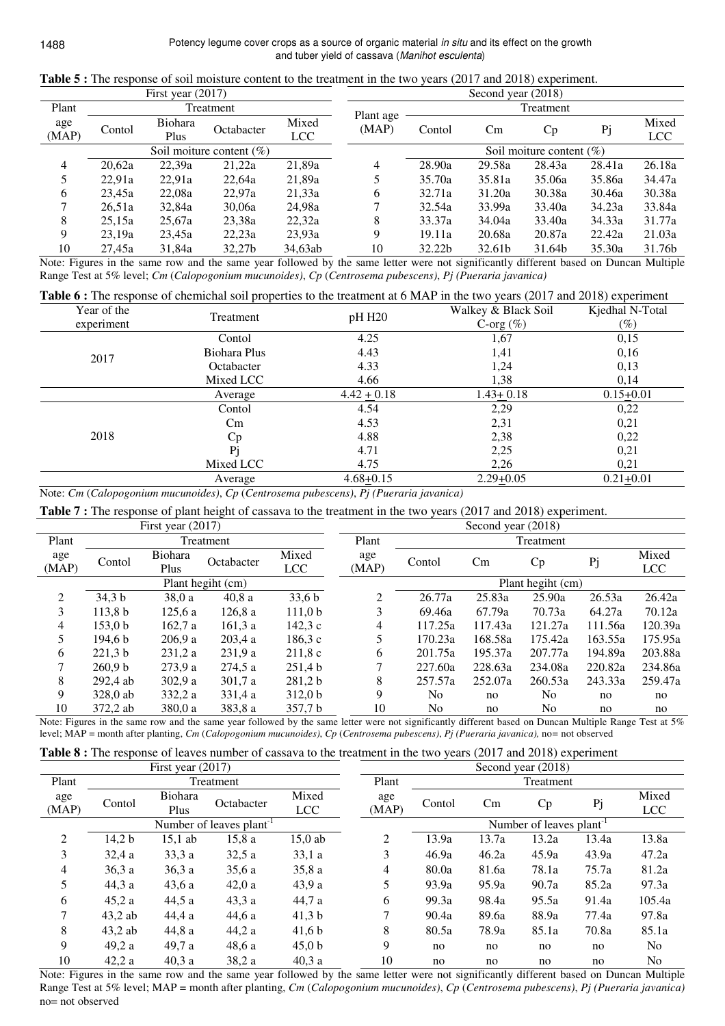|                |                              | First year $(2017)$ |            |                     |           |        | Second year (2018) |                             |        |              |
|----------------|------------------------------|---------------------|------------|---------------------|-----------|--------|--------------------|-----------------------------|--------|--------------|
| Plant          |                              |                     | Treatment  |                     | Plant age |        |                    | Treatment                   |        |              |
| age<br>(MAP)   | Contol                       | Biohara<br>Plus     | Octabacter | Mixed<br><b>LCC</b> | (MAP)     | Contol | Cm                 | Cp                          | Pj     | Mixed<br>LCC |
|                | Soil moiture content $(\% )$ |                     |            |                     |           |        |                    | Soil moiture content $(\%)$ |        |              |
| $\overline{4}$ | 20,62a                       | 22,39a              | 21,22a     | 21,89a              | 4         | 28.90a | 29.58a             | 28.43a                      | 28.41a | 26.18a       |
| 5              | 22,91a                       | 22.91a              | 22,64a     | 21,89a              |           | 35.70a | 35.81a             | 35.06a                      | 35.86a | 34.47a       |
| 6              | 23.45a                       | 22,08a              | 22,97a     | 21,33a              | 6         | 32.71a | 31.20a             | 30.38a                      | 30.46a | 30.38a       |
|                | 26,51a                       | 32,84a              | 30,06a     | 24,98a              |           | 32.54a | 33.99a             | 33.40a                      | 34.23a | 33.84a       |
| 8              | 25,15a                       | 25,67a              | 23,38a     | 22,32a              | 8         | 33.37a | 34.04a             | 33.40a                      | 34.33a | 31.77a       |
| 9              | 23,19a                       | 23,45a              | 22,23a     | 23,93a              | 9         | 19.11a | 20.68a             | 20.87a                      | 22.42a | 21.03a       |
| 10             | 27.45a                       | 31,84a              | 32.27b     | 34,63ab             | 10        | 32.22b | 32.61b             | 31.64b                      | 35.30a | 31.76b       |

**Table 5 :** The response of soil moisture content to the treatment in the two years (2017 and 2018) experiment.

Note: Figures in the same row and the same year followed by the same letter were not significantly different based on Duncan Multiple Range Test at 5% level; *Cm* (*Calopogonium mucunoides)*, *Cp* (*Centrosema pubescens)*, *Pj (Pueraria javanica)*

|             |              |                 | Table 6 : The response of chemichal soil properties to the treatment at 6 MAP in the two years (2017 and 2018) experiment |                 |
|-------------|--------------|-----------------|---------------------------------------------------------------------------------------------------------------------------|-----------------|
| Year of the | Treatment    | pH H20          | Walkey & Black Soil                                                                                                       | Kjedhal N-Total |
| experiment  |              |                 | C-org $(\% )$                                                                                                             | $(\%)$          |
|             | Contol       | 4.25            | 1,67                                                                                                                      | 0,15            |
| 2017        | Biohara Plus | 4.43            | 1,41                                                                                                                      | 0,16            |
|             | Octabacter   | 4.33            | 1,24                                                                                                                      | 0,13            |
|             | Mixed LCC    | 4.66            | 1,38                                                                                                                      | 0,14            |
|             | Average      | $4.42 \pm 0.18$ | $1.43 \pm 0.18$                                                                                                           | $0.15+0.01$     |
|             | Contol       | 4.54            | 2,29                                                                                                                      | 0,22            |
|             | Cm           | 4.53            | 2,31                                                                                                                      | 0,21            |
| 2018        | Cp           | 4.88            | 2,38                                                                                                                      | 0,22            |
|             | Pi           | 4.71            | 2,25                                                                                                                      | 0,21            |
|             | Mixed LCC    | 4.75            | 2,26                                                                                                                      | 0,21            |
|             | Average      | $4.68 + 0.15$   | $2.29 + 0.05$                                                                                                             | $0.21 + 0.01$   |

Note: *Cm* (*Calopogonium mucunoides)*, *Cp* (*Centrosema pubescens)*, *Pj (Pueraria javanica)*

Table 7 : The response of plant height of cassava to the treatment in the two years (2017 and 2018) experiment.

|       | First year $(2017)$ |         |                   |                    |       |                | Second year (2018) |                   |         |            |
|-------|---------------------|---------|-------------------|--------------------|-------|----------------|--------------------|-------------------|---------|------------|
| Plant |                     |         | Treatment         |                    | Plant |                |                    | Treatment         |         |            |
| age   |                     | Biohara |                   | Mixed              | age   |                |                    |                   |         | Mixed      |
| (MAP) | Contol              | Plus    | Octabacter        | <b>LCC</b>         | (MAP) | Contol         | Cm                 | Cp                | Pj      | <b>LCC</b> |
|       |                     |         | Plant hegiht (cm) |                    |       |                |                    | Plant hegiht (cm) |         |            |
| 2     | 34.3 <sub>b</sub>   | 38.0a   | 40,8a             | 33,6 b             | 2     | 26.77a         | 25.83a             | 25.90a            | 26.53a  | 26.42a     |
| 3     | 113.8 <sub>b</sub>  | 125.6a  | 126.8a            | 111.0 <sub>b</sub> | 3     | 69.46a         | 67.79a             | 70.73a            | 64.27a  | 70.12a     |
| 4     | 153.0 <sub>b</sub>  | 162.7a  | 161.3a            | 142.3c             | 4     | 117.25a        | 117.43a            | 121.27a           | 111.56a | 120.39a    |
| 5     | 194.6 b             | 206.9a  | 203.4a            | 186.3c             |       | 170.23a        | 168.58a            | 175.42a           | 163.55a | 175.95a    |
| 6     | 221.3 <sub>b</sub>  | 231.2a  | 231.9a            | 211.8c             | 6     | 201.75a        | 195.37a            | 207.77a           | 194.89a | 203.88a    |
| 7     | 260.9 <sub>b</sub>  | 273.9a  | 274.5a            | 251.4 b            |       | 227.60a        | 228.63a            | 234.08a           | 220.82a | 234.86a    |
| 8     | 292.4 ab            | 302.9a  | 301,7 a           | 281,2 b            | 8     | 257.57a        | 252.07a            | 260.53a           | 243.33a | 259.47a    |
| 9     | 328.0 ab            | 332.2 a | 331.4 a           | 312.0 <sub>b</sub> | 9     | N <sub>0</sub> | no                 | No.               | no      | no         |
| 10    | 372,2 ab            | 380.0 a | 383,8 a           | 357.7 b            | 10    | No             | no                 | No                | no      | no         |

Note: Figures in the same row and the same year followed by the same letter were not significantly different based on Duncan Multiple Range Test at 5% level; MAP = month after planting, *Cm* (*Calopogonium mucunoides)*, *Cp* (*Centrosema pubescens)*, *Pj (Pueraria javanica),* no*=* not observed

|  |  |  |  |  |  |  |  | <b>Table 8</b> : The response of leaves number of cassava to the treatment in the two years (2017 and 2018) experiment |  |
|--|--|--|--|--|--|--|--|------------------------------------------------------------------------------------------------------------------------|--|
|--|--|--|--|--|--|--|--|------------------------------------------------------------------------------------------------------------------------|--|

|                |        | First year $(2017)$    |                                     |                     |              |        |       | Second year (2018)                   |       |                     |
|----------------|--------|------------------------|-------------------------------------|---------------------|--------------|--------|-------|--------------------------------------|-------|---------------------|
| Plant          |        |                        | Treatment                           |                     | Plant        |        |       | Treatment                            |       |                     |
| age<br>(MAP)   | Contol | <b>Biohara</b><br>Plus | Octabacter                          | Mixed<br><b>LCC</b> | age<br>(MAP) | Contol | Cm    | Cp                                   | Pj    | Mixed<br><b>LCC</b> |
|                |        |                        | Number of leaves plant <sup>1</sup> |                     |              |        |       | Number of leaves plant <sup>-1</sup> |       |                     |
| $\overline{2}$ | 14,2 b | $15,1$ ab              | 15,8a                               | $15,0$ ab           | 2            | 13.9a  | 13.7a | 13.2a                                | 13.4a | 13.8a               |
| 3              | 32,4a  | 33.3a                  | 32,5a                               | 33,1a               | 3            | 46.9a  | 46.2a | 45.9a                                | 43.9a | 47.2a               |
| 4              | 36,3a  | 36,3a                  | 35,6a                               | 35,8a               | 4            | 80.0a  | 81.6a | 78.1a                                | 75.7a | 81.2a               |
| 5              | 44,3 a | 43,6a                  | 42,0a                               | 43.9a               | 5            | 93.9a  | 95.9a | 90.7a                                | 85.2a | 97.3a               |
| 6              | 45,2a  | 44,5 a                 | 43,3a                               | 44,7 a              | 6            | 99.3a  | 98.4a | 95.5a                                | 91.4a | 105.4a              |
| 7              | 43,2ab | 44,4 a                 | 44,6 a                              | 41.3 <sub>b</sub>   | 7            | 90.4a  | 89.6a | 88.9a                                | 77.4a | 97.8a               |
| 8              | 43,2ab | 44.8 a                 | 44,2a                               | 41,6 b              | 8            | 80.5a  | 78.9a | 85.1a                                | 70.8a | 85.1a               |
| 9              | 49.2 a | 49,7 a                 | 48,6 a                              | 45,0 b              | 9            | no     | no    | no                                   | no    | No                  |
| 10             | 42,2a  | 40.3a                  | 38,2 a                              | 40.3a               | 10           | no     | no    | no                                   | no    | No                  |

Note: Figures in the same row and the same year followed by the same letter were not significantly different based on Duncan Multiple Range Test at 5% level; MAP = month after planting, *Cm* (*Calopogonium mucunoides)*, *Cp* (*Centrosema pubescens)*, *Pj (Pueraria javanica)*  no= not observed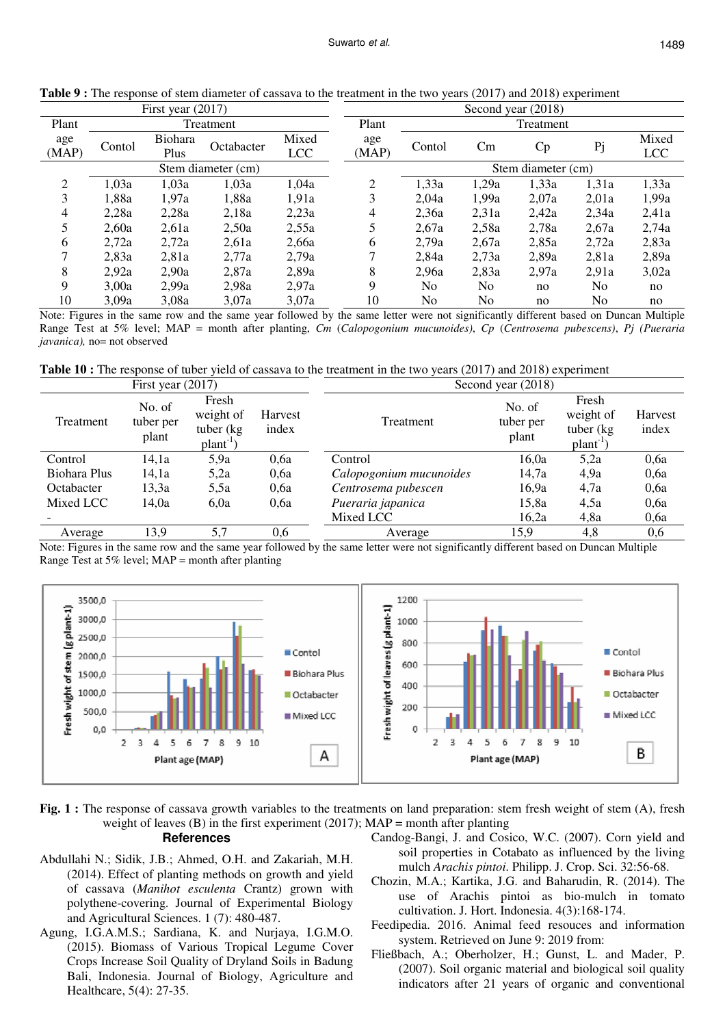|                |        | First year $(2017)$ |                    |                     |                |        |       | Second year (2018) |                |                     |
|----------------|--------|---------------------|--------------------|---------------------|----------------|--------|-------|--------------------|----------------|---------------------|
| Plant          |        |                     | Treatment          |                     | Plant          |        |       | Treatment          |                |                     |
| age<br>(MAP)   | Contol | Biohara<br>Plus     | Octabacter         | Mixed<br><b>LCC</b> | age<br>(MAP)   | Contol | Cm    | Cp                 | Pj             | Mixed<br><b>LCC</b> |
|                |        |                     | Stem diameter (cm) |                     |                |        |       | Stem diameter (cm) |                |                     |
| $\overline{2}$ | 1,03a  | 1,03a               | 1,03a              | 1,04a               | $\overline{2}$ | 1,33a  | 1,29a | 1,33a              | 1,31a          | 1,33a               |
| 3              | 1,88a  | 1,97a               | 1,88a              | 1,91a               | 3              | 2,04a  | 1,99a | 2,07a              | 2,01a          | 1,99a               |
| $\overline{4}$ | 2,28a  | 2,28a               | 2,18a              | 2,23a               | 4              | 2,36a  | 2,31a | 2,42a              | 2,34a          | 2,41a               |
| 5              | 2,60a  | 2,61a               | 2,50a              | 2,55a               | 5              | 2,67a  | 2,58a | 2,78a              | 2,67a          | 2,74a               |
| 6              | 2,72a  | 2,72a               | 2,61a              | 2,66a               | 6              | 2,79a  | 2.67a | 2,85a              | 2,72a          | 2,83a               |
| ⇁              | 2,83a  | 2.81a               | 2,77a              | 2,79a               | 7              | 2,84a  | 2,73a | 2,89a              | 2,81a          | 2,89a               |
| 8              | 2,92a  | 2.90a               | 2,87a              | 2,89a               | 8              | 2,96a  | 2,83a | 2.97a              | 2.91a          | 3,02a               |
| 9              | 3,00a  | 2,99a               | 2,98a              | 2,97a               | 9              | No     | No    | no                 | No             | no                  |
| 10             | 3.09a  | 3.08a               | 3.07a              | 3.07a               | 10             | No     | No    | no                 | N <sub>0</sub> | no                  |

**Table 9 :** The response of stem diameter of cassava to the treatment in the two years (2017) and 2018) experiment

Note: Figures in the same row and the same year followed by the same letter were not significantly different based on Duncan Multiple Range Test at 5% level; MAP = month after planting, *Cm* (*Calopogonium mucunoides)*, *Cp* (*Centrosema pubescens)*, *Pj (Pueraria javanica*), no= not observed

**Table 10 :** The response of tuber yield of cassava to the treatment in the two years (2017) and 2018) experiment

| First year $(2017)$ |                              |                                                           |                  | Second year (2018)      |                              |                                                           |                  |
|---------------------|------------------------------|-----------------------------------------------------------|------------------|-------------------------|------------------------------|-----------------------------------------------------------|------------------|
| Treatment           | No. of<br>tuber per<br>plant | Fresh<br>weight of<br>tuber (kg)<br>plant <sup>-1</sup> ) | Harvest<br>index | <b>Treatment</b>        | No. of<br>tuber per<br>plant | Fresh<br>weight of<br>tuber $(kg)$<br>plant <sup>-1</sup> | Harvest<br>index |
| Control             | 14,1a                        | 5,9a                                                      | 0.6a             | Control                 | 16,0a                        | 5,2a                                                      | 0,6a             |
| Biohara Plus        | 14,1a                        | 5,2a                                                      | 0,6a             | Calopogonium mucunoides | 14,7a                        | 4,9a                                                      | 0,6a             |
| Octabacter          | 13,3a                        | 5,5a                                                      | 0,6a             | Centrosema pubescen     | 16,9a                        | 4,7a                                                      | 0,6a             |
| Mixed LCC           | 14,0a                        | 6,0a                                                      | 0.6a             | Pueraria japanica       | 15,8a                        | 4,5a                                                      | 0,6a             |
|                     |                              |                                                           |                  | Mixed LCC               | 16,2a                        | 4,8a                                                      | 0,6a             |
| Average             | 13,9                         | 5,7                                                       | 0,6              | Average                 | 15,9                         | 4,8                                                       | 0,6              |

Note: Figures in the same row and the same year followed by the same letter were not significantly different based on Duncan Multiple Range Test at 5% level; MAP = month after planting



**Fig. 1 :** The response of cassava growth variables to the treatments on land preparation: stem fresh weight of stem (A), fresh weight of leaves (B) in the first experiment (2017);  $MAP =$  month after planting

#### **References**

- Abdullahi N.; Sidik, J.B.; Ahmed, O.H. and Zakariah, M.H. (2014). Effect of planting methods on growth and yield of cassava (*Manihot esculenta* Crantz) grown with polythene-covering. Journal of Experimental Biology and Agricultural Sciences. 1 (7): 480-487.
- Agung, I.G.A.M.S.; Sardiana, K. and Nurjaya, I.G.M.O. (2015). Biomass of Various Tropical Legume Cover Crops Increase Soil Quality of Dryland Soils in Badung Bali, Indonesia. Journal of Biology, Agriculture and Healthcare, 5(4): 27-35.
- Candog-Bangi, J. and Cosico, W.C. (2007). Corn yield and soil properties in Cotabato as influenced by the living mulch *Arachis pintoi*. Philipp. J. Crop. Sci. 32:56-68.
- Chozin, M.A.; Kartika, J.G. and Baharudin, R. (2014). The use of Arachis pintoi as bio-mulch in tomato cultivation. J. Hort. Indonesia. 4(3):168-174.
- Feedipedia. 2016. Animal feed resouces and information system. Retrieved on June 9: 2019 from:
- Fließbach, A.; Oberholzer, H.; Gunst, L. and Mader, P. (2007). Soil organic material and biological soil quality indicators after 21 years of organic and conventional